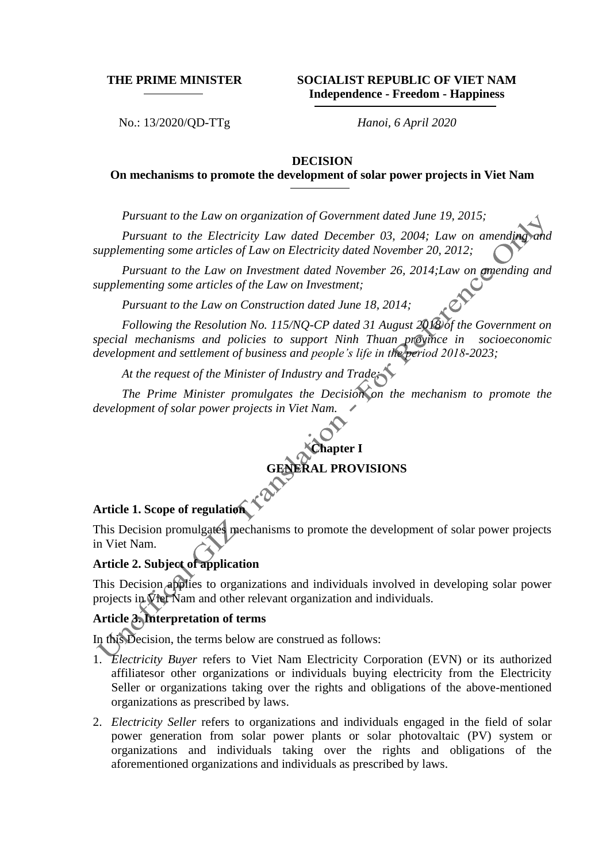**THE PRIME MINISTER SOCIALIST REPUBLIC OF VIET NAM Independence - Freedom - Happiness**

No.: 13/2020/QD-TTg *Hanoi, 6 April 2020*

#### **DECISION**

### **On mechanisms to promote the development of solar power projects in Viet Nam**

*Pursuant to the Law on organization of Government dated June 19, 2015;*

*Pursuant to the Electricity Law dated December 03, 2004; Law on amending supplementing some articles of Law on Electricity dated November 20, 2012;*

*Pursuant to the Law on Investment dated November 26, 2014;Law on amending and supplementing some articles of the Law on Investment;* 

*Pursuant to the Law on Construction dated June 18, 2014;*

*Following the Resolution No. 115/NQ-CP dated 31 August 2018 of the Government on special mechanisms and policies to support Ninh Thuan province in socioeconomic development and settlement of business and people's life in the period 2018-2023;*

*At the request of the Minister of Industry and Trade;*

*The Prime Minister promulgates the Decision on the mechanism to promote the development of solar power projects in Viet Nam.*

> **Chapter I GERAL PROVISIONS**

# **Article 1. Scope of regulation**

This Decision promulgates mechanisms to promote the development of solar power projects in Viet Nam.

#### **Article 2. Subject of application**

This Decision applies to organizations and individuals involved in developing solar power projects in Viet Nam and other relevant organization and individuals.

#### **Article 3. Interpretation of terms**

In this Decision, the terms below are construed as follows:

- 1. *Electricity Buyer* refers to Viet Nam Electricity Corporation (EVN) or its authorized affiliatesor other organizations or individuals buying electricity from the Electricity Seller or organizations taking over the rights and obligations of the above-mentioned organizations as prescribed by laws.
- 2. *Electricity Seller* refers to organizations and individuals engaged in the field of solar power generation from solar power plants or solar photovaltaic (PV) system or organizations and individuals taking over the rights and obligations of the aforementioned organizations and individuals as prescribed by laws.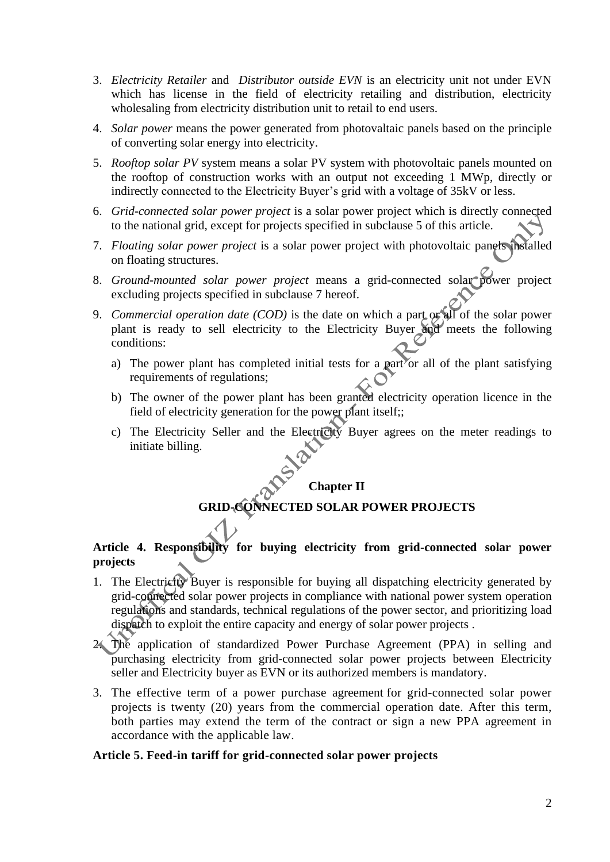- 3. *Electricity Retailer* and *Distributor outside EVN* is an electricity unit not under EVN which has license in the field of electricity retailing and distribution, electricity wholesaling from electricity distribution unit to retail to end users.
- 4. *Solar power* means the power generated from photovaltaic panels based on the principle of converting solar energy into electricity.
- 5. *Rooftop solar PV* system means a solar PV system with photovoltaic panels mounted on the rooftop of construction works with an output not exceeding 1 MWp, directly or indirectly connected to the Electricity Buyer's grid with a voltage of 35kV or less.
- 6. *Grid-connected solar power project* is a solar power project which is directly connected to the national grid, except for projects specified in subclause 5 of this article.
- 7. *Floating solar power project* is a solar power project with photovoltaic panels installed on floating structures.
- 8. *Ground-mounted solar power project* means a grid-connected solar power project excluding projects specified in subclause 7 hereof.
- 9. *Commercial operation date (COD)* is the date on which a part or all of the solar power plant is ready to sell electricity to the Electricity Buyer and meets the following conditions:
	- a) The power plant has completed initial tests for a part or all of the plant satisfying requirements of regulations;
	- b) The owner of the power plant has been granted electricity operation licence in the field of electricity generation for the power plant itself;;
	- c) The Electricity Seller and the Electricity Buyer agrees on the meter readings to initiate billing.

#### **Chapter II**

## **GECTED SOLAR POWER PROJECTS**

## **Article 4. Responsibility for buying electricity from grid-connected solar power projects**

- 1. The Electricity Buyer is responsible for buying all dispatching electricity generated by grid-connected solar power projects in compliance with national power system operation regulations and standards, technical regulations of the power sector, and prioritizing load dispatch to exploit the entire capacity and energy of solar power projects .
- The application of standardized Power Purchase Agreement (PPA) in selling and purchasing electricity from grid-connected solar power projects between Electricity seller and Electricity buyer as EVN or its authorized members is mandatory.
- 3. The effective term of a power purchase agreement for grid-connected solar power projects is twenty (20) years from the commercial operation date. After this term, both parties may extend the term of the contract or sign a new PPA agreement in accordance with the applicable law.

#### **Article 5. Feed-in tariff for grid-connected solar power projects**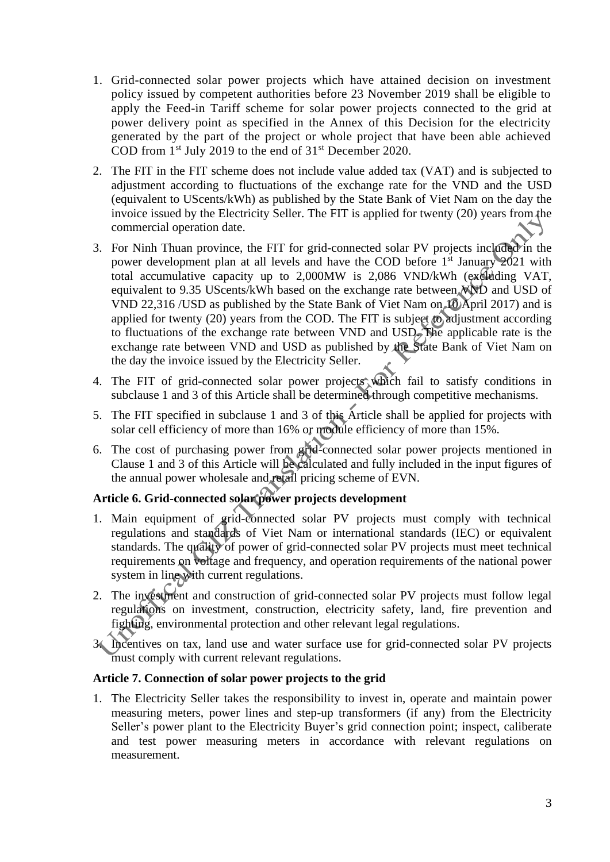- 1. Grid-connected solar power projects which have attained decision on investment policy issued by competent authorities before 23 November 2019 shall be eligible to apply the Feed-in Tariff scheme for solar power projects connected to the grid at power delivery point as specified in the Annex of this Decision for the electricity generated by the part of the project or whole project that have been able achieved COD from  $1<sup>st</sup>$  July 2019 to the end of  $31<sup>st</sup>$  December 2020.
- 2. The FIT in the FIT scheme does not include value added tax (VAT) and is subjected to adjustment according to fluctuations of the exchange rate for the VND and the USD (equivalent to UScents/kWh) as published by the State Bank of Viet Nam on the day the invoice issued by the Electricity Seller. The FIT is applied for twenty (20) years from the commercial operation date.
- 3. For Ninh Thuan province, the FIT for grid-connected solar PV projects included in the power development plan at all levels and have the COD before 1<sup>st</sup> January 2021 with total accumulative capacity up to 2,000MW is 2,086 VND/kWh (excluding VAT, equivalent to 9.35 UScents/kWh based on the exchange rate between NND and USD of VND 22,316 /USD as published by the State Bank of Viet Nam on 10 April 2017) and is applied for twenty (20) years from the COD. The FIT is subject to adjustment according to fluctuations of the exchange rate between VND and USD. The applicable rate is the exchange rate between VND and USD as published by the State Bank of Viet Nam on the day the invoice issued by the Electricity Seller.
- 4. The FIT of grid-connected solar power projects which fail to satisfy conditions in subclause 1 and 3 of this Article shall be determined through competitive mechanisms.
- 5. The FIT specified in subclause 1 and 3 of this Article shall be applied for projects with solar cell efficiency of more than 16% or module efficiency of more than 15%.
- 6. The cost of purchasing power from grid-connected solar power projects mentioned in Clause 1 and 3 of this Article will be calculated and fully included in the input figures of the annual power wholesale and retail pricing scheme of EVN.

## **Article 6. Grid-connected solar power projects development**

- 1. Main equipment of grid-connected solar PV projects must comply with technical regulations and standards of Viet Nam or international standards (IEC) or equivalent standards. The quality of power of grid-connected solar PV projects must meet technical requirements on voltage and frequency, and operation requirements of the national power system in line with current regulations.
- 2. The investment and construction of grid-connected solar PV projects must follow legal regulations on investment, construction, electricity safety, land, fire prevention and fighting, environmental protection and other relevant legal regulations.
- 3. Incentives on tax, land use and water surface use for grid-connected solar PV projects must comply with current relevant regulations.

## **Article 7. Connection of solar power projects to the grid**

1. The Electricity Seller takes the responsibility to invest in, operate and maintain power measuring meters, power lines and step-up transformers (if any) from the Electricity Seller's power plant to the Electricity Buyer's grid connection point; inspect, caliberate and test power measuring meters in accordance with relevant regulations on measurement.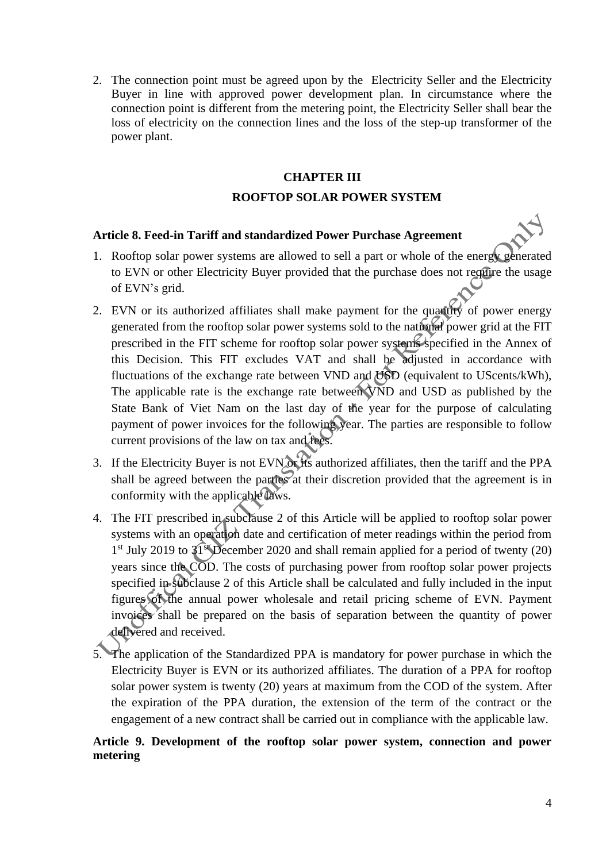2. The connection point must be agreed upon by the Electricity Seller and the Electricity Buyer in line with approved power development plan. In circumstance where the connection point is different from the metering point, the Electricity Seller shall bear the loss of electricity on the connection lines and the loss of the step-up transformer of the power plant.

### **CHAPTER III**

### **ROOFTOP SOLAR POWER SYSTEM**

#### **Article 8. Feed-in Tariff and standardized Power Purchase Agreement**

- 1. Rooftop solar power systems are allowed to sell a part or whole of the energy generated to EVN or other Electricity Buyer provided that the purchase does not require the usage of EVN's grid.
- 2. EVN or its authorized affiliates shall make payment for the quantity of power energy generated from the rooftop solar power systems sold to the national power grid at the FIT prescribed in the FIT scheme for rooftop solar power systems specified in the Annex of this Decision. This FIT excludes VAT and shall be adjusted in accordance with fluctuations of the exchange rate between VND and  $\overline{USD}$  (equivalent to UScents/kWh), The applicable rate is the exchange rate between VND and USD as published by the State Bank of Viet Nam on the last day of the year for the purpose of calculating payment of power invoices for the following year. The parties are responsible to follow current provisions of the law on tax and fees.
- 3. If the Electricity Buyer is not EVN or its authorized affiliates, then the tariff and the PPA shall be agreed between the parties at their discretion provided that the agreement is in conformity with the applicable laws.
- 4. The FIT prescribed in subclause 2 of this Article will be applied to rooftop solar power systems with an operation date and certification of meter readings within the period from 1<sup>st</sup> July 2019 to 31<sup>st</sup> December 2020 and shall remain applied for a period of twenty (20) years since the COD. The costs of purchasing power from rooftop solar power projects specified in subclause 2 of this Article shall be calculated and fully included in the input figures of the annual power wholesale and retail pricing scheme of EVN. Payment invoices shall be prepared on the basis of separation between the quantity of power delivered and received.
- 5. The application of the Standardized PPA is mandatory for power purchase in which the Electricity Buyer is EVN or its authorized affiliates. The duration of a PPA for rooftop solar power system is twenty (20) years at maximum from the COD of the system. After the expiration of the PPA duration, the extension of the term of the contract or the engagement of a new contract shall be carried out in compliance with the applicable law.

## **Article 9. Development of the rooftop solar power system, connection and power metering**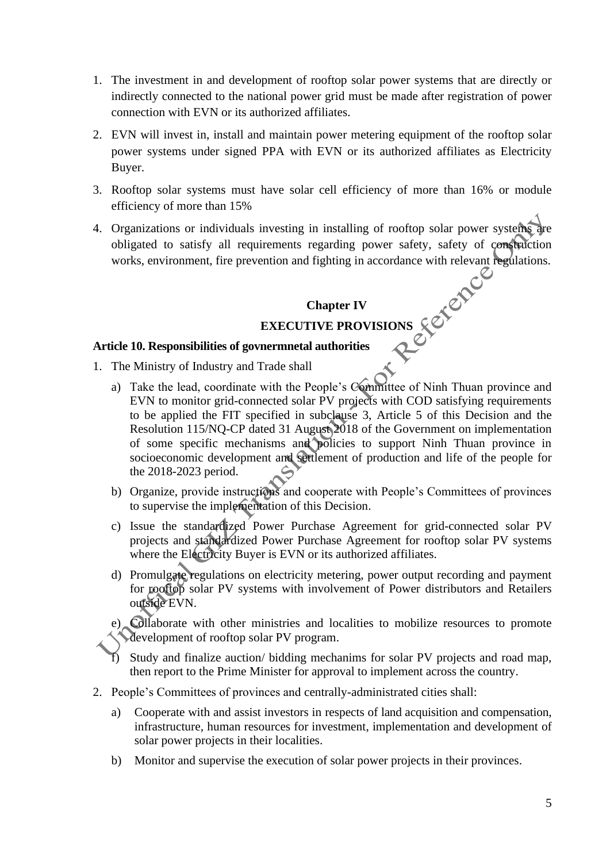- 1. The investment in and development of rooftop solar power systems that are directly or indirectly connected to the national power grid must be made after registration of power connection with EVN or its authorized affiliates.
- 2. EVN will invest in, install and maintain power metering equipment of the rooftop solar power systems under signed PPA with EVN or its authorized affiliates as Electricity Buyer.
- 3. Rooftop solar systems must have solar cell efficiency of more than 16% or module efficiency of more than 15%
- 4. Organizations or individuals investing in installing of rooftop solar power systems are obligated to satisfy all requirements regarding power safety, safety of construction works, environment, fire prevention and fighting in accordance with relevant regulations.

## **Chapter IV**

## **EXECUTIVE PROVISIONS**

## **Article 10. Responsibilities of govnermnetal authorities**

- 1. The Ministry of Industry and Trade shall
	- a) Take the lead, coordinate with the People's Committee of Ninh Thuan province and EVN to monitor grid-connected solar PV projects with COD satisfying requirements to be applied the FIT specified in subclause 3, Article 5 of this Decision and the Resolution 115/NQ-CP dated 31 August 2018 of the Government on implementation of some specific mechanisms and policies to support Ninh Thuan province in socioeconomic development and settlement of production and life of the people for the 2018-2023 period.
	- b) Organize, provide instructions and cooperate with People's Committees of provinces to supervise the implementation of this Decision.
	- c) Issue the standardized Power Purchase Agreement for grid-connected solar PV projects and standardized Power Purchase Agreement for rooftop solar PV systems where the Electricity Buyer is EVN or its authorized affiliates.
	- d) Promulgate regulations on electricity metering, power output recording and payment for rooftop solar PV systems with involvement of Power distributors and Retailers outside EVN.

e) Collaborate with other ministries and localities to mobilize resources to promote development of rooftop solar PV program.

Study and finalize auction/ bidding mechanims for solar PV projects and road map, then report to the Prime Minister for approval to implement across the country.

- 2. People's Committees of provinces and centrally-administrated cities shall:
	- a) Cooperate with and assist investors in respects of land acquisition and compensation, infrastructure, human resources for investment, implementation and development of solar power projects in their localities.
	- b) Monitor and supervise the execution of solar power projects in their provinces.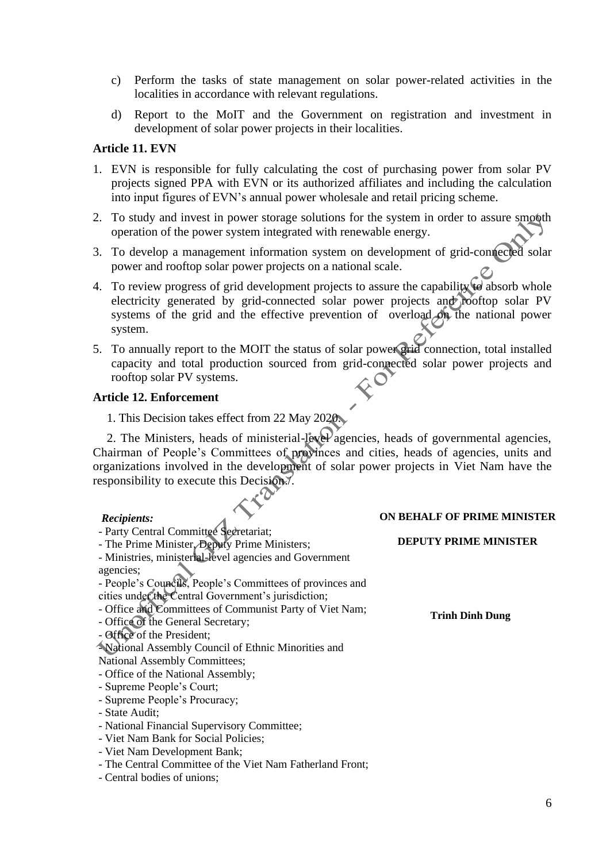- c) Perform the tasks of state management on solar power-related activities in the localities in accordance with relevant regulations.
- d) Report to the MoIT and the Government on registration and investment in development of solar power projects in their localities.

#### **Article 11. EVN**

- 1. EVN is responsible for fully calculating the cost of purchasing power from solar PV projects signed PPA with EVN or its authorized affiliates and including the calculation into input figures of EVN's annual power wholesale and retail pricing scheme.
- 2. To study and invest in power storage solutions for the system in order to assure smooth operation of the power system integrated with renewable energy.
- 3. To develop a management information system on development of grid-connected solar power and rooftop solar power projects on a national scale.
- 4. To review progress of grid development projects to assure the capability to absorb whole electricity generated by grid-connected solar power projects and rooftop solar PV systems of the grid and the effective prevention of overload on the national power system.
- 5. To annually report to the MOIT the status of solar power grid connection, total installed capacity and total production sourced from grid-connected solar power projects and rooftop solar PV systems.

### **Article 12. Enforcement**

2. The Ministers, heads of ministerial-level agencies, heads of governmental agencies, Chairman of People's Committees of provinces and cities, heads of agencies, units and organizations involved in the development of solar power projects in Viet Nam have the responsibility to execute this Decision./.

#### *Recipients:*

- Party Central Committee Secretariat; - The Prime Minister, Deputy Prime Ministers; - Ministries, ministerial-level agencies and Government agencies; - People's Councils, People's Committees of provinces and cities under the Central Government's jurisdiction; - Office and Committees of Communist Party of Viet Nam; - Office of the General Secretary; - Office of the President; - National Assembly Council of Ethnic Minorities and National Assembly Committees; - Office of the National Assembly; - Supreme People's Court; - Supreme People's Procuracy; - State Audit; - National Financial Supervisory Committee; - Viet Nam Bank for Social Policies; - Viet Nam Development Bank; - The Central Committee of the Viet Nam Fatherland Front; **DEPUTY PRIME MINISTER Trinh Dinh Dung**

## **ON BEHALF OF PRIME MINISTER**

<sup>1.</sup> This Decision takes effect from 22 May 2020.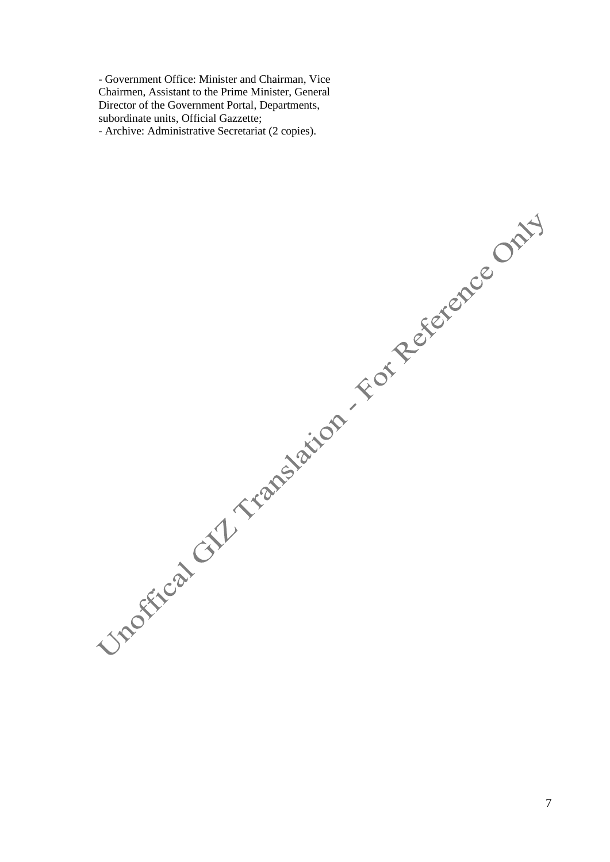- Government Office: Minister and Chairman, Vice Chairmen, Assistant to the Prime Minister, General Director of the Government Portal, Departments, subordinate units, Official Gazzette; - Archive: Administrative Secretariat (2 copies).

Unofficat GYL Translation - For Reference Only